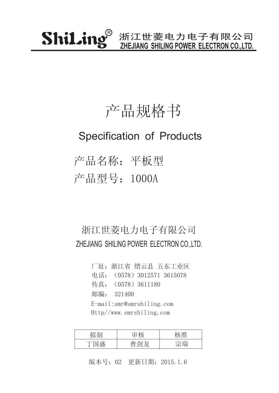### 产品规格书

#### Specification of Products

产品名称:平板型 产品型号:1000A

#### 浙江世菱电力电子有限公司 ZHEJIANG SHILING POWER ELECTRON CO.,LTD.

厂址:浙江省 缙云县 五东工业区 传真: (0578) 3611180 邮编: 321400 电话:(0578)3012571 3615078 E-mail:smr@smrshiling.com Http//www.smrshiling.com

| 7 H⊤l                                         | 나눈    |    |
|-----------------------------------------------|-------|----|
| 一心<br>$\overline{\phantom{a}}$<br>┯<br>علىلىك | $\pm$ | 今理 |

版本号:02 更新日期:2015.1.6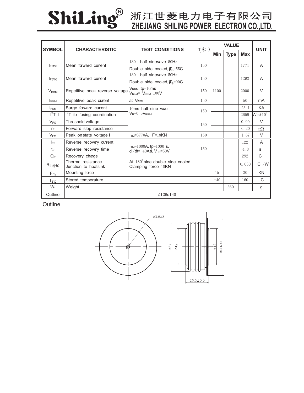# ShiLing®

## **ZHEJIANG SHILING POWER ELECTRON CO.,LTD.**

| <b>SYMBOL</b>                       | <b>CHARACTERISTIC</b>                      | <b>TEST CONDITIONS</b>                                          | $T_i$ (C | <b>VALUE</b> |             |            | <b>UNIT</b>     |
|-------------------------------------|--------------------------------------------|-----------------------------------------------------------------|----------|--------------|-------------|------------|-----------------|
|                                     |                                            |                                                                 |          | Min          | <b>Type</b> | <b>Max</b> |                 |
| Mean forward current<br>$I_{F(AV)}$ |                                            | half sinewave 50Hz<br>180                                       | 150      |              |             | 1771       | A               |
|                                     |                                            | Double side cooled, $\overline{H}_S$ =55C                       |          |              |             |            |                 |
| $I_F (AV)$                          | Mean forward current                       | half sinewave 50Hz<br>180                                       | 150      |              |             | 1292       | A               |
|                                     |                                            | Double side cooled, $\overline{H}_S$ =90C                       |          |              |             |            |                 |
| <b>V</b> <sub>RRM</sub>             | Repetitive peak reverse voltage            | $V_{RRM}$ tp=10ms<br>$V_{\text{RsM}} = V_{\text{RRM}} + 100V$   | 150      | 1100         |             | 2000       | $\vee$          |
| <b>IRRM</b>                         | Repetitive peak current                    | at VRRM                                                         | 150      |              |             | 50         | mA              |
| <b>IFSM</b>                         | Surge forward current                      | 10ms half sine wae<br>$V_R = 0.6V_{RRM}$                        | 150      |              |             | 23.1       | KA              |
| $I^2T$ 1                            | $2T$ for fusing coordination               |                                                                 |          |              |             | 2659       | $A^2$ s* $10^3$ |
| $V_{FO}$                            | Threshold voltage                          |                                                                 | 150      |              |             | 0.90       | $\vee$          |
| $r_F$                               | Forward slop resistance                    |                                                                 |          |              |             | 0.20       | $m\Omega$       |
| $V_{FM}$                            | Peak on-state voltage I                    | $TM = 3770A$ , F=18KN                                           | 150      |              |             | 1.67       | $\vee$          |
| $I_{rm}$                            | Reverse recovery current                   | $ITM=1000A$ , tp=1000 s,<br>di/dt=-40As, V $_{\rm R}$ =50V      | 150      |              |             | 122        | A               |
| $t_{rr}$                            | Reverse recovery time                      |                                                                 |          |              |             | 4.8        | S               |
| $Q_{rr}$                            | Recovery charge                            |                                                                 |          |              |             | 292        | C               |
| $R_{th (j+h)}$                      | Thermal resistance<br>Junction to heatsink | At $180^{\circ}$ sine double side cooled<br>Clamping force 18KN |          |              |             | 0.030      | $C$ /W          |
| F <sub>m</sub>                      | Mounting face                              |                                                                 |          | 15           |             | 20         | <b>KN</b>       |
| $T_{\text{stg}}$                    | Stored temperature                         |                                                                 |          | $-40$        |             | 160        | C               |
| $W_t$                               | Weight                                     |                                                                 |          |              | 360         |            | g               |
| Outline                             |                                            | ZT39cT40                                                        |          |              |             |            |                 |

**Outline**